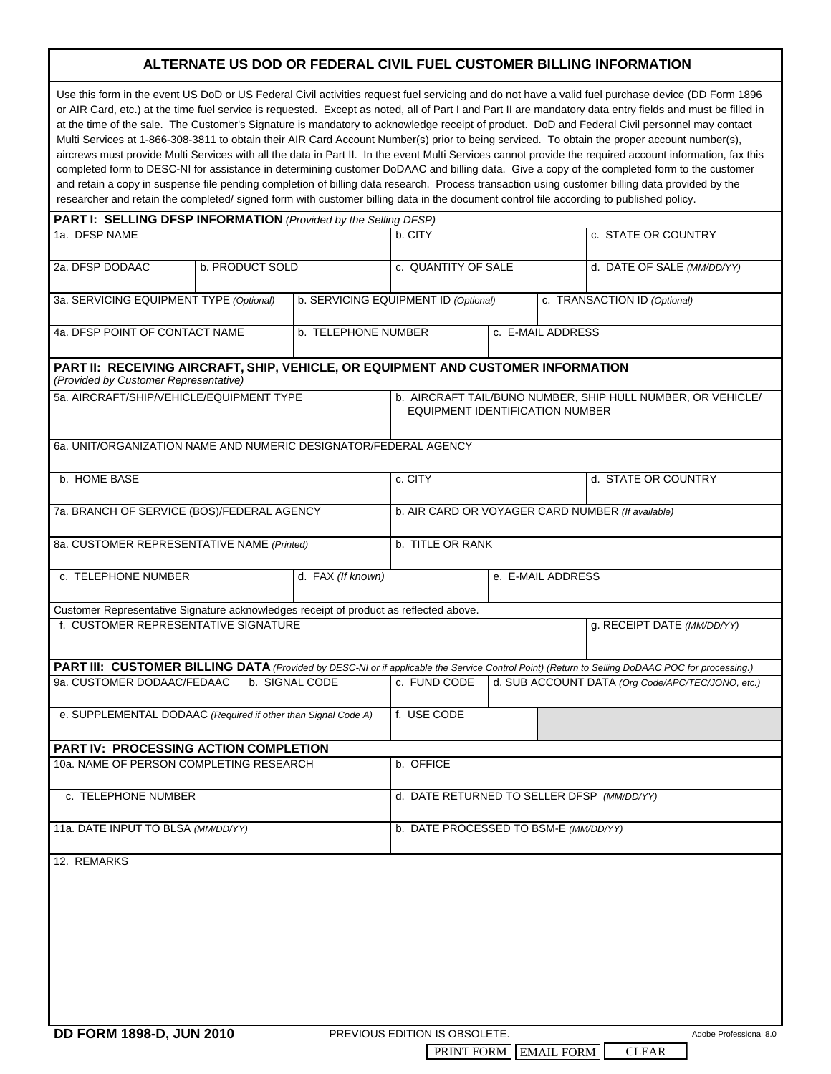## **ALTERNATE US DOD OR FEDERAL CIVIL FUEL CUSTOMER BILLING INFORMATION**

| Use this form in the event US DoD or US Federal Civil activities request fuel servicing and do not have a valid fuel purchase device (DD Form 1896<br>or AIR Card, etc.) at the time fuel service is requested. Except as noted, all of Part I and Part II are mandatory data entry fields and must be filled in<br>at the time of the sale. The Customer's Signature is mandatory to acknowledge receipt of product. DoD and Federal Civil personnel may contact<br>Multi Services at 1-866-308-3811 to obtain their AIR Card Account Number(s) prior to being serviced. To obtain the proper account number(s),<br>aircrews must provide Multi Services with all the data in Part II. In the event Multi Services cannot provide the required account information, fax this<br>completed form to DESC-NI for assistance in determining customer DoDAAC and billing data. Give a copy of the completed form to the customer<br>and retain a copy in suspense file pending completion of billing data research. Process transaction using customer billing data provided by the<br>researcher and retain the completed/signed form with customer billing data in the document control file according to published policy. |                                                                                                |                                |                                                   |                                                   |  |                              |                        |
|---------------------------------------------------------------------------------------------------------------------------------------------------------------------------------------------------------------------------------------------------------------------------------------------------------------------------------------------------------------------------------------------------------------------------------------------------------------------------------------------------------------------------------------------------------------------------------------------------------------------------------------------------------------------------------------------------------------------------------------------------------------------------------------------------------------------------------------------------------------------------------------------------------------------------------------------------------------------------------------------------------------------------------------------------------------------------------------------------------------------------------------------------------------------------------------------------------------------------|------------------------------------------------------------------------------------------------|--------------------------------|---------------------------------------------------|---------------------------------------------------|--|------------------------------|------------------------|
| <b>PART I: SELLING DFSP INFORMATION</b> (Provided by the Selling DFSP)                                                                                                                                                                                                                                                                                                                                                                                                                                                                                                                                                                                                                                                                                                                                                                                                                                                                                                                                                                                                                                                                                                                                                    |                                                                                                |                                |                                                   |                                                   |  |                              |                        |
| 1a. DFSP NAME                                                                                                                                                                                                                                                                                                                                                                                                                                                                                                                                                                                                                                                                                                                                                                                                                                                                                                                                                                                                                                                                                                                                                                                                             |                                                                                                |                                | b. CITY                                           |                                                   |  | c. STATE OR COUNTRY          |                        |
| 2a. DFSP DODAAC                                                                                                                                                                                                                                                                                                                                                                                                                                                                                                                                                                                                                                                                                                                                                                                                                                                                                                                                                                                                                                                                                                                                                                                                           | b. PRODUCT SOLD                                                                                |                                | c. QUANTITY OF SALE                               |                                                   |  | d. DATE OF SALE (MM/DD/YY)   |                        |
| 3a. SERVICING EQUIPMENT TYPE (Optional)                                                                                                                                                                                                                                                                                                                                                                                                                                                                                                                                                                                                                                                                                                                                                                                                                                                                                                                                                                                                                                                                                                                                                                                   |                                                                                                |                                | b. SERVICING EQUIPMENT ID (Optional)              |                                                   |  | c. TRANSACTION ID (Optional) |                        |
| 4a. DFSP POINT OF CONTACT NAME                                                                                                                                                                                                                                                                                                                                                                                                                                                                                                                                                                                                                                                                                                                                                                                                                                                                                                                                                                                                                                                                                                                                                                                            |                                                                                                | b. TELEPHONE NUMBER            |                                                   | c. E-MAIL ADDRESS                                 |  |                              |                        |
| PART II: RECEIVING AIRCRAFT, SHIP, VEHICLE, OR EQUIPMENT AND CUSTOMER INFORMATION<br>(Provided by Customer Representative)                                                                                                                                                                                                                                                                                                                                                                                                                                                                                                                                                                                                                                                                                                                                                                                                                                                                                                                                                                                                                                                                                                |                                                                                                |                                |                                                   |                                                   |  |                              |                        |
| 5a. AIRCRAFT/SHIP/VEHICLE/EQUIPMENT TYPE                                                                                                                                                                                                                                                                                                                                                                                                                                                                                                                                                                                                                                                                                                                                                                                                                                                                                                                                                                                                                                                                                                                                                                                  | b. AIRCRAFT TAIL/BUNO NUMBER, SHIP HULL NUMBER, OR VEHICLE/<br>EQUIPMENT IDENTIFICATION NUMBER |                                |                                                   |                                                   |  |                              |                        |
| 6a. UNIT/ORGANIZATION NAME AND NUMERIC DESIGNATOR/FEDERAL AGENCY                                                                                                                                                                                                                                                                                                                                                                                                                                                                                                                                                                                                                                                                                                                                                                                                                                                                                                                                                                                                                                                                                                                                                          |                                                                                                |                                |                                                   |                                                   |  |                              |                        |
| b. HOME BASE                                                                                                                                                                                                                                                                                                                                                                                                                                                                                                                                                                                                                                                                                                                                                                                                                                                                                                                                                                                                                                                                                                                                                                                                              |                                                                                                | c. CITY<br>d. STATE OR COUNTRY |                                                   |                                                   |  |                              |                        |
| 7a. BRANCH OF SERVICE (BOS)/FEDERAL AGENCY                                                                                                                                                                                                                                                                                                                                                                                                                                                                                                                                                                                                                                                                                                                                                                                                                                                                                                                                                                                                                                                                                                                                                                                |                                                                                                |                                | b. AIR CARD OR VOYAGER CARD NUMBER (If available) |                                                   |  |                              |                        |
| 8a. CUSTOMER REPRESENTATIVE NAME (Printed)                                                                                                                                                                                                                                                                                                                                                                                                                                                                                                                                                                                                                                                                                                                                                                                                                                                                                                                                                                                                                                                                                                                                                                                |                                                                                                |                                | b. TITLE OR RANK                                  |                                                   |  |                              |                        |
| c. TELEPHONE NUMBER                                                                                                                                                                                                                                                                                                                                                                                                                                                                                                                                                                                                                                                                                                                                                                                                                                                                                                                                                                                                                                                                                                                                                                                                       |                                                                                                | d. FAX (If known)              | e. E-MAIL ADDRESS                                 |                                                   |  |                              |                        |
| Customer Representative Signature acknowledges receipt of product as reflected above.                                                                                                                                                                                                                                                                                                                                                                                                                                                                                                                                                                                                                                                                                                                                                                                                                                                                                                                                                                                                                                                                                                                                     |                                                                                                |                                |                                                   |                                                   |  |                              |                        |
| f. CUSTOMER REPRESENTATIVE SIGNATURE                                                                                                                                                                                                                                                                                                                                                                                                                                                                                                                                                                                                                                                                                                                                                                                                                                                                                                                                                                                                                                                                                                                                                                                      |                                                                                                |                                |                                                   | g. RECEIPT DATE (MM/DD/YY)                        |  |                              |                        |
|                                                                                                                                                                                                                                                                                                                                                                                                                                                                                                                                                                                                                                                                                                                                                                                                                                                                                                                                                                                                                                                                                                                                                                                                                           |                                                                                                |                                |                                                   |                                                   |  |                              |                        |
| PART III: CUSTOMER BILLING DATA (Provided by DESC-NI or if applicable the Service Control Point) (Return to Selling DoDAAC POC for processing.)<br>b. SIGNAL CODE<br>9a. CUSTOMER DODAAC/FEDAAC                                                                                                                                                                                                                                                                                                                                                                                                                                                                                                                                                                                                                                                                                                                                                                                                                                                                                                                                                                                                                           |                                                                                                | c. FUND CODE                   |                                                   | d. SUB ACCOUNT DATA (Org Code/APC/TEC/JONO, etc.) |  |                              |                        |
| e. SUPPLEMENTAL DODAAC (Required if other than Signal Code A)                                                                                                                                                                                                                                                                                                                                                                                                                                                                                                                                                                                                                                                                                                                                                                                                                                                                                                                                                                                                                                                                                                                                                             |                                                                                                |                                | f. USE CODE                                       |                                                   |  |                              |                        |
| PART IV: PROCESSING ACTION COMPLETION                                                                                                                                                                                                                                                                                                                                                                                                                                                                                                                                                                                                                                                                                                                                                                                                                                                                                                                                                                                                                                                                                                                                                                                     |                                                                                                |                                |                                                   |                                                   |  |                              |                        |
| 10a, NAME OF PERSON COMPLETING RESEARCH                                                                                                                                                                                                                                                                                                                                                                                                                                                                                                                                                                                                                                                                                                                                                                                                                                                                                                                                                                                                                                                                                                                                                                                   | b. OFFICE                                                                                      |                                |                                                   |                                                   |  |                              |                        |
| c. TELEPHONE NUMBER                                                                                                                                                                                                                                                                                                                                                                                                                                                                                                                                                                                                                                                                                                                                                                                                                                                                                                                                                                                                                                                                                                                                                                                                       |                                                                                                |                                | d. DATE RETURNED TO SELLER DFSP (MM/DD/YY)        |                                                   |  |                              |                        |
| 11a. DATE INPUT TO BLSA (MM/DD/YY)                                                                                                                                                                                                                                                                                                                                                                                                                                                                                                                                                                                                                                                                                                                                                                                                                                                                                                                                                                                                                                                                                                                                                                                        |                                                                                                |                                | b. DATE PROCESSED TO BSM-E (MM/DD/YY)             |                                                   |  |                              |                        |
| 12. REMARKS                                                                                                                                                                                                                                                                                                                                                                                                                                                                                                                                                                                                                                                                                                                                                                                                                                                                                                                                                                                                                                                                                                                                                                                                               |                                                                                                |                                |                                                   |                                                   |  |                              |                        |
| DD FORM 1898-D, JUN 2010                                                                                                                                                                                                                                                                                                                                                                                                                                                                                                                                                                                                                                                                                                                                                                                                                                                                                                                                                                                                                                                                                                                                                                                                  |                                                                                                |                                | PREVIOUS EDITION IS OBSOLETE.                     |                                                   |  |                              | Adobe Professional 8.0 |

PRINT FORM EMAIL FORM CLEAR